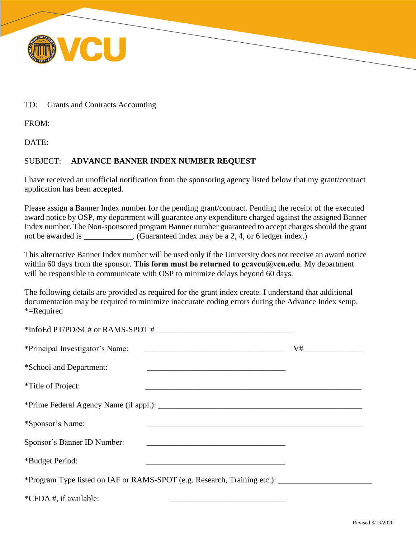

## TO: Grants and Contracts Accounting

FROM:

DATE:

## SUBJECT: **ADVANCE BANNER INDEX NUMBER REQUEST**

I have received an unofficial notification from the sponsoring agency listed below that my grant/contract application has been accepted.

Please assign a Banner Index number for the pending grant/contract. Pending the receipt of the executed award notice by OSP, my department will guarantee any expenditure charged against the assigned Banner Index number. The Non-sponsored program Banner number guaranteed to accept charges should the grant not be awarded is \_\_\_\_\_\_\_\_\_\_. (Guaranteed index may be a 2, 4, or 6 ledger index.)

This alternative Banner Index number will be used only if the University does not receive an award notice within 60 days from the sponsor. This form must be returned to gcavcu@vcu.edu. My department will be responsible to communicate with OSP to minimize delays beyond 60 days.

The following details are provided as required for the grant index create. I understand that additional documentation may be required to minimize inaccurate coding errors during the Advance Index setup. \*=Required

| *Principal Investigator's Name: | V# ___________________ |
|---------------------------------|------------------------|
| *School and Department:         |                        |
| <i>*Title of Project:</i>       |                        |
|                                 |                        |
| *Sponsor's Name:                |                        |
| Sponsor's Banner ID Number:     |                        |
| *Budget Period:                 |                        |
|                                 |                        |
| *CFDA #, if available:          |                        |